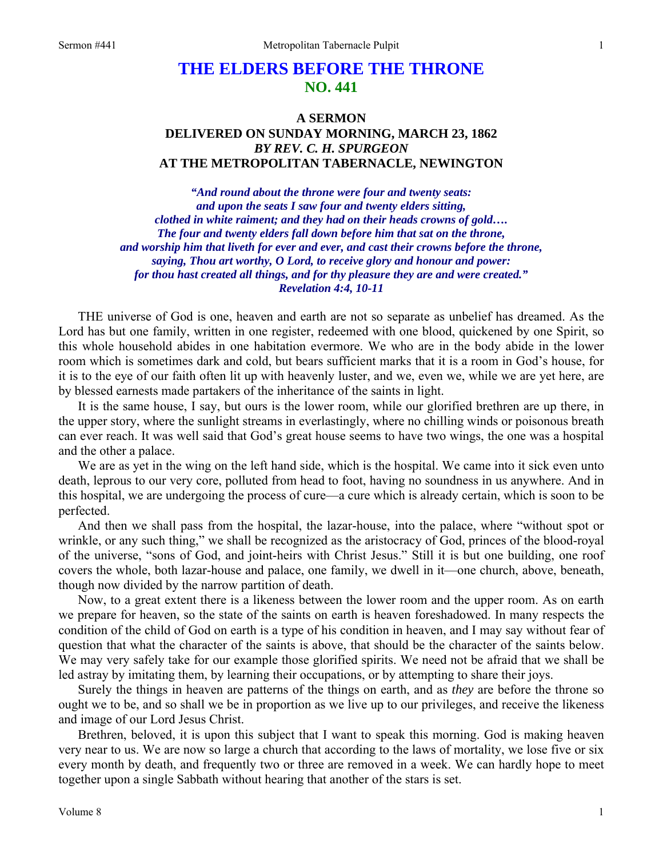## **THE ELDERS BEFORE THE THRONE NO. 441**

## **A SERMON DELIVERED ON SUNDAY MORNING, MARCH 23, 1862**  *BY REV. C. H. SPURGEON*  **AT THE METROPOLITAN TABERNACLE, NEWINGTON**

*"And round about the throne were four and twenty seats: and upon the seats I saw four and twenty elders sitting, clothed in white raiment; and they had on their heads crowns of gold…. The four and twenty elders fall down before him that sat on the throne, and worship him that liveth for ever and ever, and cast their crowns before the throne, saying, Thou art worthy, O Lord, to receive glory and honour and power: for thou hast created all things, and for thy pleasure they are and were created." Revelation 4:4, 10-11* 

THE universe of God is one, heaven and earth are not so separate as unbelief has dreamed. As the Lord has but one family, written in one register, redeemed with one blood, quickened by one Spirit, so this whole household abides in one habitation evermore. We who are in the body abide in the lower room which is sometimes dark and cold, but bears sufficient marks that it is a room in God's house, for it is to the eye of our faith often lit up with heavenly luster, and we, even we, while we are yet here, are by blessed earnests made partakers of the inheritance of the saints in light.

It is the same house, I say, but ours is the lower room, while our glorified brethren are up there, in the upper story, where the sunlight streams in everlastingly, where no chilling winds or poisonous breath can ever reach. It was well said that God's great house seems to have two wings, the one was a hospital and the other a palace.

We are as yet in the wing on the left hand side, which is the hospital. We came into it sick even unto death, leprous to our very core, polluted from head to foot, having no soundness in us anywhere. And in this hospital, we are undergoing the process of cure—a cure which is already certain, which is soon to be perfected.

And then we shall pass from the hospital, the lazar-house, into the palace, where "without spot or wrinkle, or any such thing," we shall be recognized as the aristocracy of God, princes of the blood-royal of the universe, "sons of God, and joint-heirs with Christ Jesus." Still it is but one building, one roof covers the whole, both lazar-house and palace, one family, we dwell in it—one church, above, beneath, though now divided by the narrow partition of death.

Now, to a great extent there is a likeness between the lower room and the upper room. As on earth we prepare for heaven, so the state of the saints on earth is heaven foreshadowed. In many respects the condition of the child of God on earth is a type of his condition in heaven, and I may say without fear of question that what the character of the saints is above, that should be the character of the saints below. We may very safely take for our example those glorified spirits. We need not be afraid that we shall be led astray by imitating them, by learning their occupations, or by attempting to share their joys.

Surely the things in heaven are patterns of the things on earth, and as *they* are before the throne so ought we to be, and so shall we be in proportion as we live up to our privileges, and receive the likeness and image of our Lord Jesus Christ.

Brethren, beloved, it is upon this subject that I want to speak this morning. God is making heaven very near to us. We are now so large a church that according to the laws of mortality, we lose five or six every month by death, and frequently two or three are removed in a week. We can hardly hope to meet together upon a single Sabbath without hearing that another of the stars is set.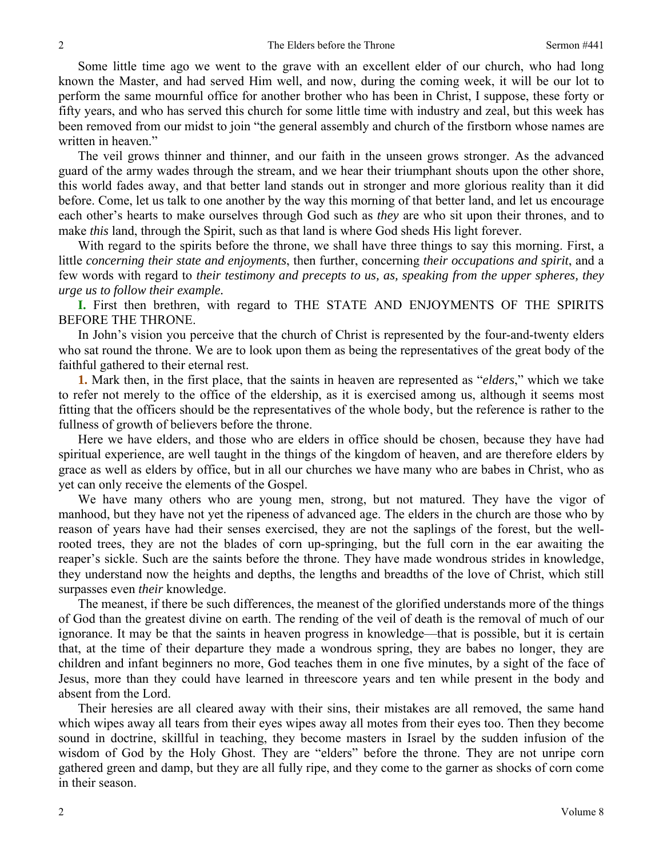Some little time ago we went to the grave with an excellent elder of our church, who had long known the Master, and had served Him well, and now, during the coming week, it will be our lot to perform the same mournful office for another brother who has been in Christ, I suppose, these forty or fifty years, and who has served this church for some little time with industry and zeal, but this week has been removed from our midst to join "the general assembly and church of the firstborn whose names are written in heaven."

The veil grows thinner and thinner, and our faith in the unseen grows stronger. As the advanced guard of the army wades through the stream, and we hear their triumphant shouts upon the other shore, this world fades away, and that better land stands out in stronger and more glorious reality than it did before. Come, let us talk to one another by the way this morning of that better land, and let us encourage each other's hearts to make ourselves through God such as *they* are who sit upon their thrones, and to make *this* land, through the Spirit, such as that land is where God sheds His light forever.

With regard to the spirits before the throne, we shall have three things to say this morning. First, a little *concerning their state and enjoyments*, then further, concerning *their occupations and spirit*, and a few words with regard to *their testimony and precepts to us, as, speaking from the upper spheres, they urge us to follow their example.*

**I.** First then brethren, with regard to THE STATE AND ENJOYMENTS OF THE SPIRITS BEFORE THE THRONE.

In John's vision you perceive that the church of Christ is represented by the four-and-twenty elders who sat round the throne. We are to look upon them as being the representatives of the great body of the faithful gathered to their eternal rest.

**1.** Mark then, in the first place, that the saints in heaven are represented as "*elders*," which we take to refer not merely to the office of the eldership, as it is exercised among us, although it seems most fitting that the officers should be the representatives of the whole body, but the reference is rather to the fullness of growth of believers before the throne.

Here we have elders, and those who are elders in office should be chosen, because they have had spiritual experience, are well taught in the things of the kingdom of heaven, and are therefore elders by grace as well as elders by office, but in all our churches we have many who are babes in Christ, who as yet can only receive the elements of the Gospel.

We have many others who are young men, strong, but not matured. They have the vigor of manhood, but they have not yet the ripeness of advanced age. The elders in the church are those who by reason of years have had their senses exercised, they are not the saplings of the forest, but the wellrooted trees, they are not the blades of corn up-springing, but the full corn in the ear awaiting the reaper's sickle. Such are the saints before the throne. They have made wondrous strides in knowledge, they understand now the heights and depths, the lengths and breadths of the love of Christ, which still surpasses even *their* knowledge.

The meanest, if there be such differences, the meanest of the glorified understands more of the things of God than the greatest divine on earth. The rending of the veil of death is the removal of much of our ignorance. It may be that the saints in heaven progress in knowledge—that is possible, but it is certain that, at the time of their departure they made a wondrous spring, they are babes no longer, they are children and infant beginners no more, God teaches them in one five minutes, by a sight of the face of Jesus, more than they could have learned in threescore years and ten while present in the body and absent from the Lord.

Their heresies are all cleared away with their sins, their mistakes are all removed, the same hand which wipes away all tears from their eyes wipes away all motes from their eyes too. Then they become sound in doctrine, skillful in teaching, they become masters in Israel by the sudden infusion of the wisdom of God by the Holy Ghost. They are "elders" before the throne. They are not unripe corn gathered green and damp, but they are all fully ripe, and they come to the garner as shocks of corn come in their season.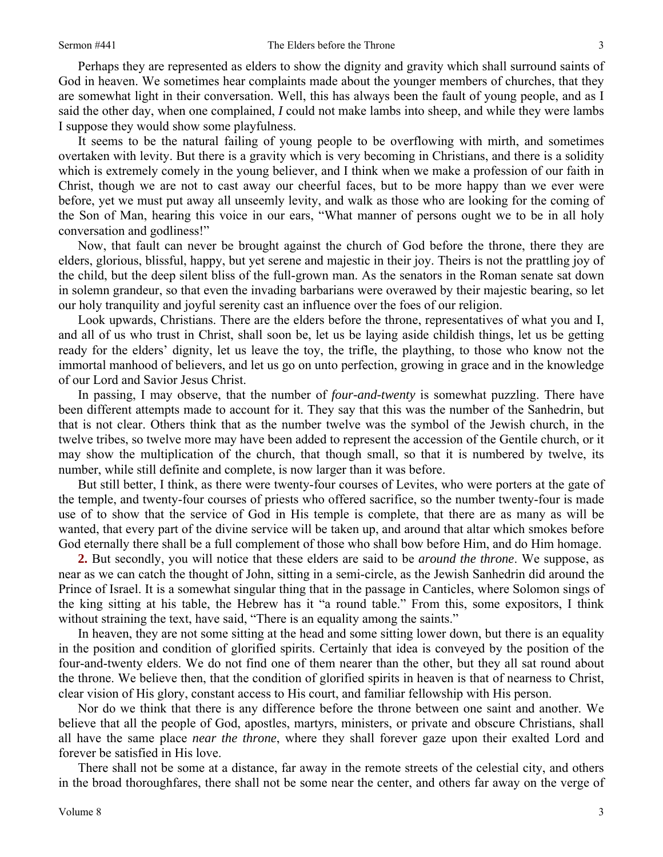Perhaps they are represented as elders to show the dignity and gravity which shall surround saints of God in heaven. We sometimes hear complaints made about the younger members of churches, that they are somewhat light in their conversation. Well, this has always been the fault of young people, and as I said the other day, when one complained, *I* could not make lambs into sheep, and while they were lambs I suppose they would show some playfulness.

It seems to be the natural failing of young people to be overflowing with mirth, and sometimes overtaken with levity. But there is a gravity which is very becoming in Christians, and there is a solidity which is extremely comely in the young believer, and I think when we make a profession of our faith in Christ, though we are not to cast away our cheerful faces, but to be more happy than we ever were before, yet we must put away all unseemly levity, and walk as those who are looking for the coming of the Son of Man, hearing this voice in our ears, "What manner of persons ought we to be in all holy conversation and godliness!"

Now, that fault can never be brought against the church of God before the throne, there they are elders, glorious, blissful, happy, but yet serene and majestic in their joy. Theirs is not the prattling joy of the child, but the deep silent bliss of the full-grown man. As the senators in the Roman senate sat down in solemn grandeur, so that even the invading barbarians were overawed by their majestic bearing, so let our holy tranquility and joyful serenity cast an influence over the foes of our religion.

Look upwards, Christians. There are the elders before the throne, representatives of what you and I, and all of us who trust in Christ, shall soon be, let us be laying aside childish things, let us be getting ready for the elders' dignity, let us leave the toy, the trifle, the plaything, to those who know not the immortal manhood of believers, and let us go on unto perfection, growing in grace and in the knowledge of our Lord and Savior Jesus Christ.

In passing, I may observe, that the number of *four-and-twenty* is somewhat puzzling. There have been different attempts made to account for it. They say that this was the number of the Sanhedrin, but that is not clear. Others think that as the number twelve was the symbol of the Jewish church, in the twelve tribes, so twelve more may have been added to represent the accession of the Gentile church, or it may show the multiplication of the church, that though small, so that it is numbered by twelve, its number, while still definite and complete, is now larger than it was before.

But still better, I think, as there were twenty-four courses of Levites, who were porters at the gate of the temple, and twenty-four courses of priests who offered sacrifice, so the number twenty-four is made use of to show that the service of God in His temple is complete, that there are as many as will be wanted, that every part of the divine service will be taken up, and around that altar which smokes before God eternally there shall be a full complement of those who shall bow before Him, and do Him homage.

**2.** But secondly, you will notice that these elders are said to be *around the throne*. We suppose, as near as we can catch the thought of John, sitting in a semi-circle, as the Jewish Sanhedrin did around the Prince of Israel. It is a somewhat singular thing that in the passage in Canticles, where Solomon sings of the king sitting at his table, the Hebrew has it "a round table." From this, some expositors, I think without straining the text, have said, "There is an equality among the saints."

In heaven, they are not some sitting at the head and some sitting lower down, but there is an equality in the position and condition of glorified spirits. Certainly that idea is conveyed by the position of the four-and-twenty elders. We do not find one of them nearer than the other, but they all sat round about the throne. We believe then, that the condition of glorified spirits in heaven is that of nearness to Christ, clear vision of His glory, constant access to His court, and familiar fellowship with His person.

Nor do we think that there is any difference before the throne between one saint and another. We believe that all the people of God, apostles, martyrs, ministers, or private and obscure Christians, shall all have the same place *near the throne*, where they shall forever gaze upon their exalted Lord and forever be satisfied in His love.

There shall not be some at a distance, far away in the remote streets of the celestial city, and others in the broad thoroughfares, there shall not be some near the center, and others far away on the verge of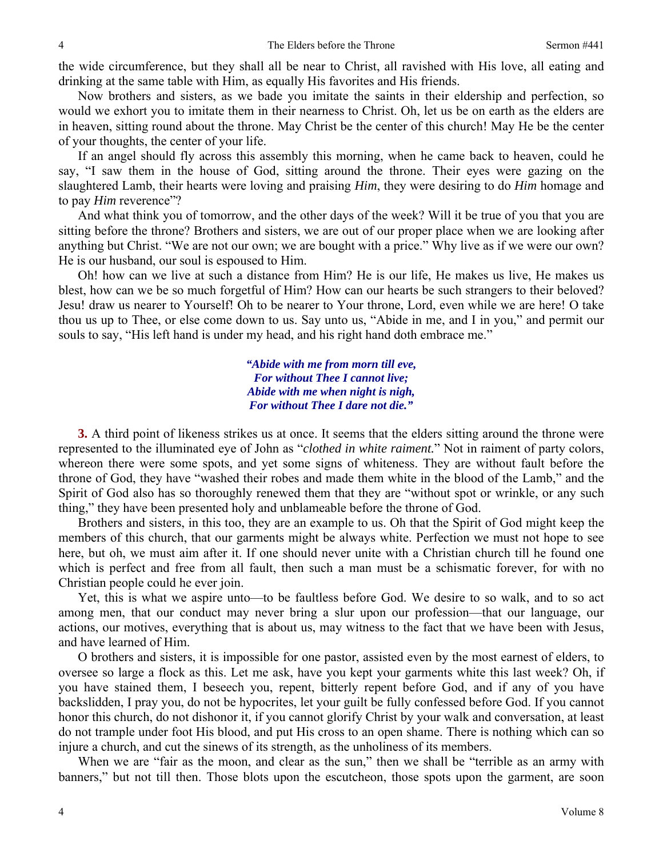the wide circumference, but they shall all be near to Christ, all ravished with His love, all eating and drinking at the same table with Him, as equally His favorites and His friends.

Now brothers and sisters, as we bade you imitate the saints in their eldership and perfection, so would we exhort you to imitate them in their nearness to Christ. Oh, let us be on earth as the elders are in heaven, sitting round about the throne. May Christ be the center of this church! May He be the center of your thoughts, the center of your life.

If an angel should fly across this assembly this morning, when he came back to heaven, could he say, "I saw them in the house of God, sitting around the throne. Their eyes were gazing on the slaughtered Lamb, their hearts were loving and praising *Him*, they were desiring to do *Him* homage and to pay *Him* reverence"?

And what think you of tomorrow, and the other days of the week? Will it be true of you that you are sitting before the throne? Brothers and sisters, we are out of our proper place when we are looking after anything but Christ. "We are not our own; we are bought with a price." Why live as if we were our own? He is our husband, our soul is espoused to Him.

Oh! how can we live at such a distance from Him? He is our life, He makes us live, He makes us blest, how can we be so much forgetful of Him? How can our hearts be such strangers to their beloved? Jesu! draw us nearer to Yourself! Oh to be nearer to Your throne, Lord, even while we are here! O take thou us up to Thee, or else come down to us. Say unto us, "Abide in me, and I in you," and permit our souls to say, "His left hand is under my head, and his right hand doth embrace me."

> *"Abide with me from morn till eve, For without Thee I cannot live; Abide with me when night is nigh, For without Thee I dare not die."*

**3.** A third point of likeness strikes us at once. It seems that the elders sitting around the throne were represented to the illuminated eye of John as "*clothed in white raiment.*" Not in raiment of party colors, whereon there were some spots, and yet some signs of whiteness. They are without fault before the throne of God, they have "washed their robes and made them white in the blood of the Lamb," and the Spirit of God also has so thoroughly renewed them that they are "without spot or wrinkle, or any such thing," they have been presented holy and unblameable before the throne of God.

Brothers and sisters, in this too, they are an example to us. Oh that the Spirit of God might keep the members of this church, that our garments might be always white. Perfection we must not hope to see here, but oh, we must aim after it. If one should never unite with a Christian church till he found one which is perfect and free from all fault, then such a man must be a schismatic forever, for with no Christian people could he ever join.

Yet, this is what we aspire unto—to be faultless before God. We desire to so walk, and to so act among men, that our conduct may never bring a slur upon our profession—that our language, our actions, our motives, everything that is about us, may witness to the fact that we have been with Jesus, and have learned of Him.

O brothers and sisters, it is impossible for one pastor, assisted even by the most earnest of elders, to oversee so large a flock as this. Let me ask, have you kept your garments white this last week? Oh, if you have stained them, I beseech you, repent, bitterly repent before God, and if any of you have backslidden, I pray you, do not be hypocrites, let your guilt be fully confessed before God. If you cannot honor this church, do not dishonor it, if you cannot glorify Christ by your walk and conversation, at least do not trample under foot His blood, and put His cross to an open shame. There is nothing which can so injure a church, and cut the sinews of its strength, as the unholiness of its members.

When we are "fair as the moon, and clear as the sun," then we shall be "terrible as an army with banners," but not till then. Those blots upon the escutcheon, those spots upon the garment, are soon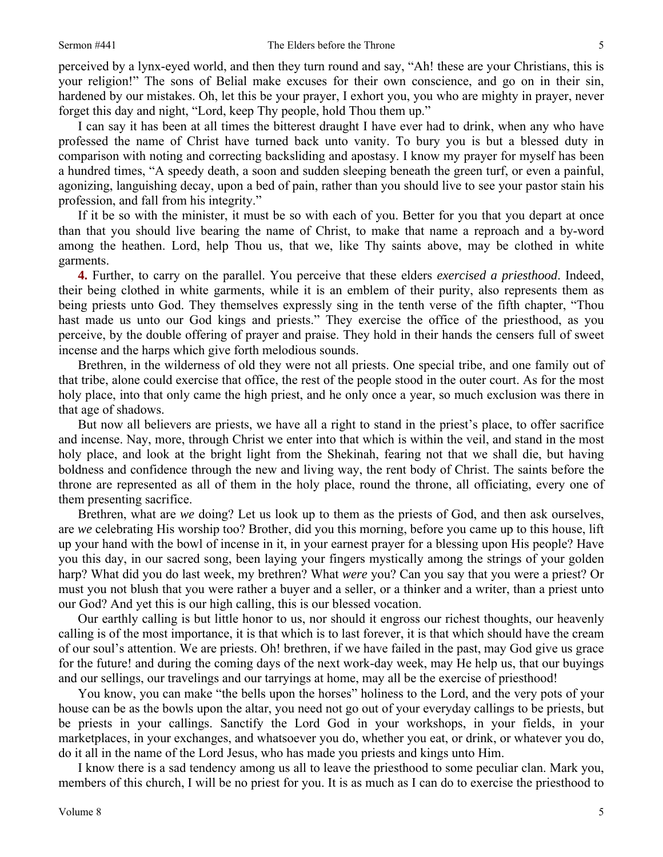perceived by a lynx-eyed world, and then they turn round and say, "Ah! these are your Christians, this is your religion!" The sons of Belial make excuses for their own conscience, and go on in their sin, hardened by our mistakes. Oh, let this be your prayer, I exhort you, you who are mighty in prayer, never forget this day and night, "Lord, keep Thy people, hold Thou them up."

I can say it has been at all times the bitterest draught I have ever had to drink, when any who have professed the name of Christ have turned back unto vanity. To bury you is but a blessed duty in comparison with noting and correcting backsliding and apostasy. I know my prayer for myself has been a hundred times, "A speedy death, a soon and sudden sleeping beneath the green turf, or even a painful, agonizing, languishing decay, upon a bed of pain, rather than you should live to see your pastor stain his profession, and fall from his integrity."

If it be so with the minister, it must be so with each of you. Better for you that you depart at once than that you should live bearing the name of Christ, to make that name a reproach and a by-word among the heathen. Lord, help Thou us, that we, like Thy saints above, may be clothed in white garments.

**4.** Further, to carry on the parallel. You perceive that these elders *exercised a priesthood*. Indeed, their being clothed in white garments, while it is an emblem of their purity, also represents them as being priests unto God. They themselves expressly sing in the tenth verse of the fifth chapter, "Thou hast made us unto our God kings and priests." They exercise the office of the priesthood, as you perceive, by the double offering of prayer and praise. They hold in their hands the censers full of sweet incense and the harps which give forth melodious sounds.

Brethren, in the wilderness of old they were not all priests. One special tribe, and one family out of that tribe, alone could exercise that office, the rest of the people stood in the outer court. As for the most holy place, into that only came the high priest, and he only once a year, so much exclusion was there in that age of shadows.

But now all believers are priests, we have all a right to stand in the priest's place, to offer sacrifice and incense. Nay, more, through Christ we enter into that which is within the veil, and stand in the most holy place, and look at the bright light from the Shekinah, fearing not that we shall die, but having boldness and confidence through the new and living way, the rent body of Christ. The saints before the throne are represented as all of them in the holy place, round the throne, all officiating, every one of them presenting sacrifice.

Brethren, what are *we* doing? Let us look up to them as the priests of God, and then ask ourselves, are *we* celebrating His worship too? Brother, did you this morning, before you came up to this house, lift up your hand with the bowl of incense in it, in your earnest prayer for a blessing upon His people? Have you this day, in our sacred song, been laying your fingers mystically among the strings of your golden harp? What did you do last week, my brethren? What *were* you? Can you say that you were a priest? Or must you not blush that you were rather a buyer and a seller, or a thinker and a writer, than a priest unto our God? And yet this is our high calling, this is our blessed vocation.

Our earthly calling is but little honor to us, nor should it engross our richest thoughts, our heavenly calling is of the most importance, it is that which is to last forever, it is that which should have the cream of our soul's attention. We are priests. Oh! brethren, if we have failed in the past, may God give us grace for the future! and during the coming days of the next work-day week, may He help us, that our buyings and our sellings, our travelings and our tarryings at home, may all be the exercise of priesthood!

You know, you can make "the bells upon the horses" holiness to the Lord, and the very pots of your house can be as the bowls upon the altar, you need not go out of your everyday callings to be priests, but be priests in your callings. Sanctify the Lord God in your workshops, in your fields, in your marketplaces, in your exchanges, and whatsoever you do, whether you eat, or drink, or whatever you do, do it all in the name of the Lord Jesus, who has made you priests and kings unto Him.

I know there is a sad tendency among us all to leave the priesthood to some peculiar clan. Mark you, members of this church, I will be no priest for you. It is as much as I can do to exercise the priesthood to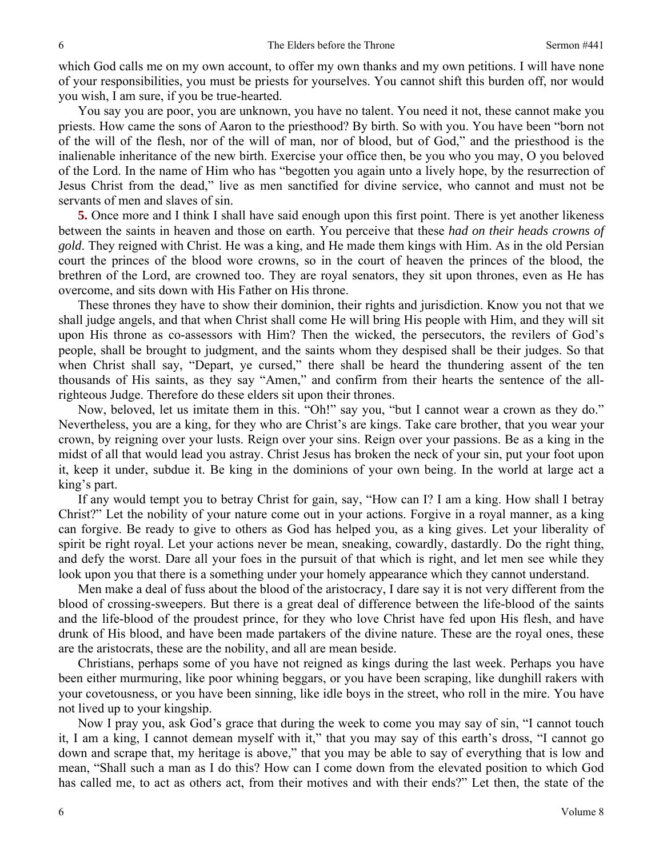which God calls me on my own account, to offer my own thanks and my own petitions. I will have none of your responsibilities, you must be priests for yourselves. You cannot shift this burden off, nor would you wish, I am sure, if you be true-hearted.

You say you are poor, you are unknown, you have no talent. You need it not, these cannot make you priests. How came the sons of Aaron to the priesthood? By birth. So with you. You have been "born not of the will of the flesh, nor of the will of man, nor of blood, but of God," and the priesthood is the inalienable inheritance of the new birth. Exercise your office then, be you who you may, O you beloved of the Lord. In the name of Him who has "begotten you again unto a lively hope, by the resurrection of Jesus Christ from the dead," live as men sanctified for divine service, who cannot and must not be servants of men and slaves of sin.

**5.** Once more and I think I shall have said enough upon this first point. There is yet another likeness between the saints in heaven and those on earth. You perceive that these *had on their heads crowns of gold*. They reigned with Christ. He was a king, and He made them kings with Him. As in the old Persian court the princes of the blood wore crowns, so in the court of heaven the princes of the blood, the brethren of the Lord, are crowned too. They are royal senators, they sit upon thrones, even as He has overcome, and sits down with His Father on His throne.

These thrones they have to show their dominion, their rights and jurisdiction. Know you not that we shall judge angels, and that when Christ shall come He will bring His people with Him, and they will sit upon His throne as co-assessors with Him? Then the wicked, the persecutors, the revilers of God's people, shall be brought to judgment, and the saints whom they despised shall be their judges. So that when Christ shall say, "Depart, ye cursed," there shall be heard the thundering assent of the ten thousands of His saints, as they say "Amen," and confirm from their hearts the sentence of the allrighteous Judge. Therefore do these elders sit upon their thrones.

Now, beloved, let us imitate them in this. "Oh!" say you, "but I cannot wear a crown as they do." Nevertheless, you are a king, for they who are Christ's are kings. Take care brother, that you wear your crown, by reigning over your lusts. Reign over your sins. Reign over your passions. Be as a king in the midst of all that would lead you astray. Christ Jesus has broken the neck of your sin, put your foot upon it, keep it under, subdue it. Be king in the dominions of your own being. In the world at large act a king's part.

If any would tempt you to betray Christ for gain, say, "How can I? I am a king. How shall I betray Christ?" Let the nobility of your nature come out in your actions. Forgive in a royal manner, as a king can forgive. Be ready to give to others as God has helped you, as a king gives. Let your liberality of spirit be right royal. Let your actions never be mean, sneaking, cowardly, dastardly. Do the right thing, and defy the worst. Dare all your foes in the pursuit of that which is right, and let men see while they look upon you that there is a something under your homely appearance which they cannot understand.

Men make a deal of fuss about the blood of the aristocracy, I dare say it is not very different from the blood of crossing-sweepers. But there is a great deal of difference between the life-blood of the saints and the life-blood of the proudest prince, for they who love Christ have fed upon His flesh, and have drunk of His blood, and have been made partakers of the divine nature. These are the royal ones, these are the aristocrats, these are the nobility, and all are mean beside.

Christians, perhaps some of you have not reigned as kings during the last week. Perhaps you have been either murmuring, like poor whining beggars, or you have been scraping, like dunghill rakers with your covetousness, or you have been sinning, like idle boys in the street, who roll in the mire. You have not lived up to your kingship.

Now I pray you, ask God's grace that during the week to come you may say of sin, "I cannot touch it, I am a king, I cannot demean myself with it," that you may say of this earth's dross, "I cannot go down and scrape that, my heritage is above," that you may be able to say of everything that is low and mean, "Shall such a man as I do this? How can I come down from the elevated position to which God has called me, to act as others act, from their motives and with their ends?" Let then, the state of the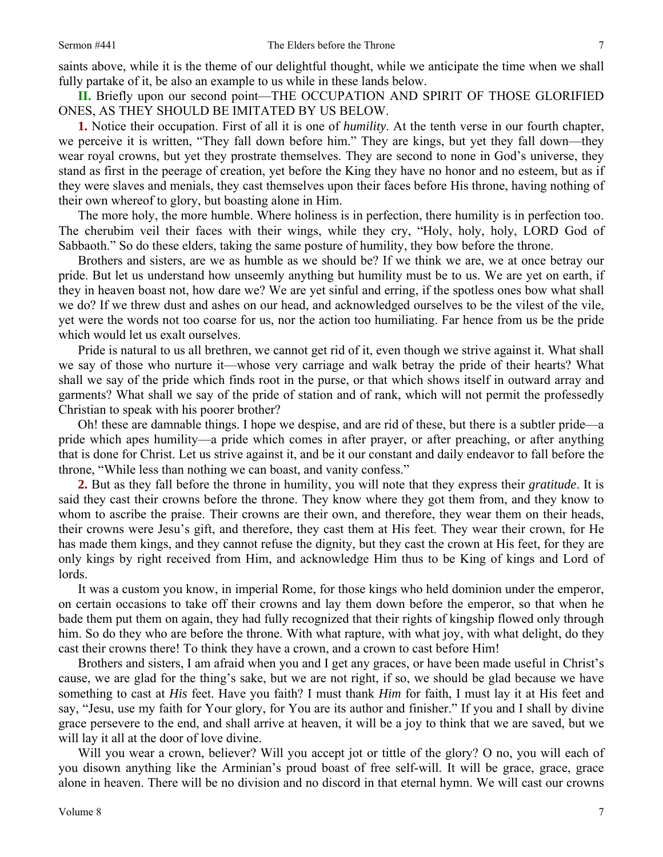saints above, while it is the theme of our delightful thought, while we anticipate the time when we shall fully partake of it, be also an example to us while in these lands below.

**II.** Briefly upon our second point—THE OCCUPATION AND SPIRIT OF THOSE GLORIFIED ONES, AS THEY SHOULD BE IMITATED BY US BELOW.

**1.** Notice their occupation. First of all it is one of *humility*. At the tenth verse in our fourth chapter, we perceive it is written, "They fall down before him." They are kings, but yet they fall down—they wear royal crowns, but yet they prostrate themselves. They are second to none in God's universe, they stand as first in the peerage of creation, yet before the King they have no honor and no esteem, but as if they were slaves and menials, they cast themselves upon their faces before His throne, having nothing of their own whereof to glory, but boasting alone in Him.

The more holy, the more humble. Where holiness is in perfection, there humility is in perfection too. The cherubim veil their faces with their wings, while they cry, "Holy, holy, holy, LORD God of Sabbaoth." So do these elders, taking the same posture of humility, they bow before the throne.

Brothers and sisters, are we as humble as we should be? If we think we are, we at once betray our pride. But let us understand how unseemly anything but humility must be to us. We are yet on earth, if they in heaven boast not, how dare we? We are yet sinful and erring, if the spotless ones bow what shall we do? If we threw dust and ashes on our head, and acknowledged ourselves to be the vilest of the vile, yet were the words not too coarse for us, nor the action too humiliating. Far hence from us be the pride which would let us exalt ourselves.

Pride is natural to us all brethren, we cannot get rid of it, even though we strive against it. What shall we say of those who nurture it—whose very carriage and walk betray the pride of their hearts? What shall we say of the pride which finds root in the purse, or that which shows itself in outward array and garments? What shall we say of the pride of station and of rank, which will not permit the professedly Christian to speak with his poorer brother?

Oh! these are damnable things. I hope we despise, and are rid of these, but there is a subtler pride—a pride which apes humility—a pride which comes in after prayer, or after preaching, or after anything that is done for Christ. Let us strive against it, and be it our constant and daily endeavor to fall before the throne, "While less than nothing we can boast, and vanity confess."

**2.** But as they fall before the throne in humility, you will note that they express their *gratitude*. It is said they cast their crowns before the throne. They know where they got them from, and they know to whom to ascribe the praise. Their crowns are their own, and therefore, they wear them on their heads, their crowns were Jesu's gift, and therefore, they cast them at His feet. They wear their crown, for He has made them kings, and they cannot refuse the dignity, but they cast the crown at His feet, for they are only kings by right received from Him, and acknowledge Him thus to be King of kings and Lord of lords.

It was a custom you know, in imperial Rome, for those kings who held dominion under the emperor, on certain occasions to take off their crowns and lay them down before the emperor, so that when he bade them put them on again, they had fully recognized that their rights of kingship flowed only through him. So do they who are before the throne. With what rapture, with what joy, with what delight, do they cast their crowns there! To think they have a crown, and a crown to cast before Him!

Brothers and sisters, I am afraid when you and I get any graces, or have been made useful in Christ's cause, we are glad for the thing's sake, but we are not right, if so, we should be glad because we have something to cast at *His* feet. Have you faith? I must thank *Him* for faith, I must lay it at His feet and say, "Jesu, use my faith for Your glory, for You are its author and finisher." If you and I shall by divine grace persevere to the end, and shall arrive at heaven, it will be a joy to think that we are saved, but we will lay it all at the door of love divine.

Will you wear a crown, believer? Will you accept jot or tittle of the glory? O no, you will each of you disown anything like the Arminian's proud boast of free self-will. It will be grace, grace, grace alone in heaven. There will be no division and no discord in that eternal hymn. We will cast our crowns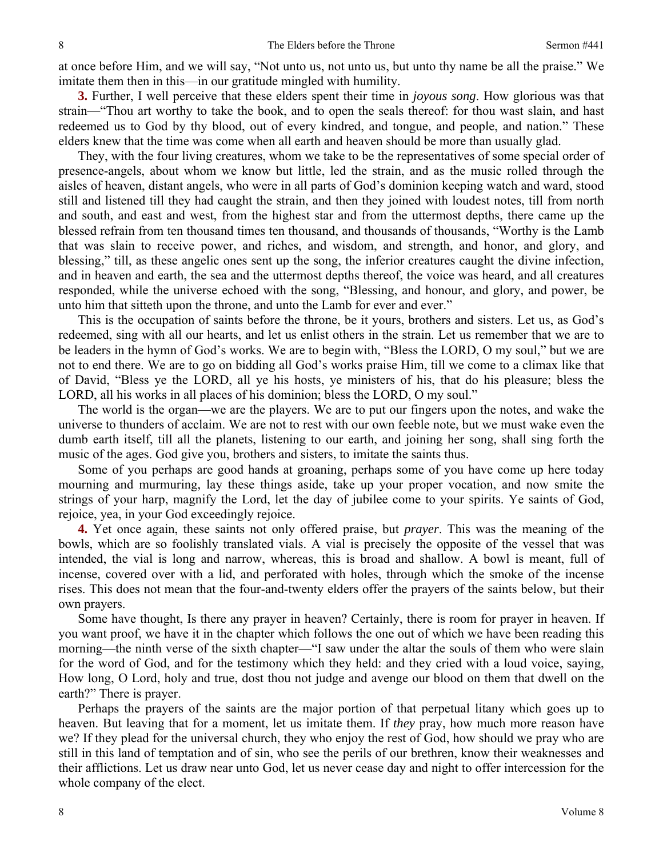at once before Him, and we will say, "Not unto us, not unto us, but unto thy name be all the praise." We imitate them then in this—in our gratitude mingled with humility.

**3.** Further, I well perceive that these elders spent their time in *joyous song*. How glorious was that strain—"Thou art worthy to take the book, and to open the seals thereof: for thou wast slain, and hast redeemed us to God by thy blood, out of every kindred, and tongue, and people, and nation." These elders knew that the time was come when all earth and heaven should be more than usually glad.

They, with the four living creatures, whom we take to be the representatives of some special order of presence-angels, about whom we know but little, led the strain, and as the music rolled through the aisles of heaven, distant angels, who were in all parts of God's dominion keeping watch and ward, stood still and listened till they had caught the strain, and then they joined with loudest notes, till from north and south, and east and west, from the highest star and from the uttermost depths, there came up the blessed refrain from ten thousand times ten thousand, and thousands of thousands, "Worthy is the Lamb that was slain to receive power, and riches, and wisdom, and strength, and honor, and glory, and blessing," till, as these angelic ones sent up the song, the inferior creatures caught the divine infection, and in heaven and earth, the sea and the uttermost depths thereof, the voice was heard, and all creatures responded, while the universe echoed with the song, "Blessing, and honour, and glory, and power, be unto him that sitteth upon the throne, and unto the Lamb for ever and ever."

This is the occupation of saints before the throne, be it yours, brothers and sisters. Let us, as God's redeemed, sing with all our hearts, and let us enlist others in the strain. Let us remember that we are to be leaders in the hymn of God's works. We are to begin with, "Bless the LORD, O my soul," but we are not to end there. We are to go on bidding all God's works praise Him, till we come to a climax like that of David, "Bless ye the LORD, all ye his hosts, ye ministers of his, that do his pleasure; bless the LORD, all his works in all places of his dominion; bless the LORD, O my soul."

The world is the organ—we are the players. We are to put our fingers upon the notes, and wake the universe to thunders of acclaim. We are not to rest with our own feeble note, but we must wake even the dumb earth itself, till all the planets, listening to our earth, and joining her song, shall sing forth the music of the ages. God give you, brothers and sisters, to imitate the saints thus.

Some of you perhaps are good hands at groaning, perhaps some of you have come up here today mourning and murmuring, lay these things aside, take up your proper vocation, and now smite the strings of your harp, magnify the Lord, let the day of jubilee come to your spirits. Ye saints of God, rejoice, yea, in your God exceedingly rejoice.

**4.** Yet once again, these saints not only offered praise, but *prayer*. This was the meaning of the bowls, which are so foolishly translated vials. A vial is precisely the opposite of the vessel that was intended, the vial is long and narrow, whereas, this is broad and shallow. A bowl is meant, full of incense, covered over with a lid, and perforated with holes, through which the smoke of the incense rises. This does not mean that the four-and-twenty elders offer the prayers of the saints below, but their own prayers.

Some have thought, Is there any prayer in heaven? Certainly, there is room for prayer in heaven. If you want proof, we have it in the chapter which follows the one out of which we have been reading this morning—the ninth verse of the sixth chapter—"I saw under the altar the souls of them who were slain for the word of God, and for the testimony which they held: and they cried with a loud voice, saying, How long, O Lord, holy and true, dost thou not judge and avenge our blood on them that dwell on the earth?" There is prayer.

Perhaps the prayers of the saints are the major portion of that perpetual litany which goes up to heaven. But leaving that for a moment, let us imitate them. If *they* pray, how much more reason have we? If they plead for the universal church, they who enjoy the rest of God, how should we pray who are still in this land of temptation and of sin, who see the perils of our brethren, know their weaknesses and their afflictions. Let us draw near unto God, let us never cease day and night to offer intercession for the whole company of the elect.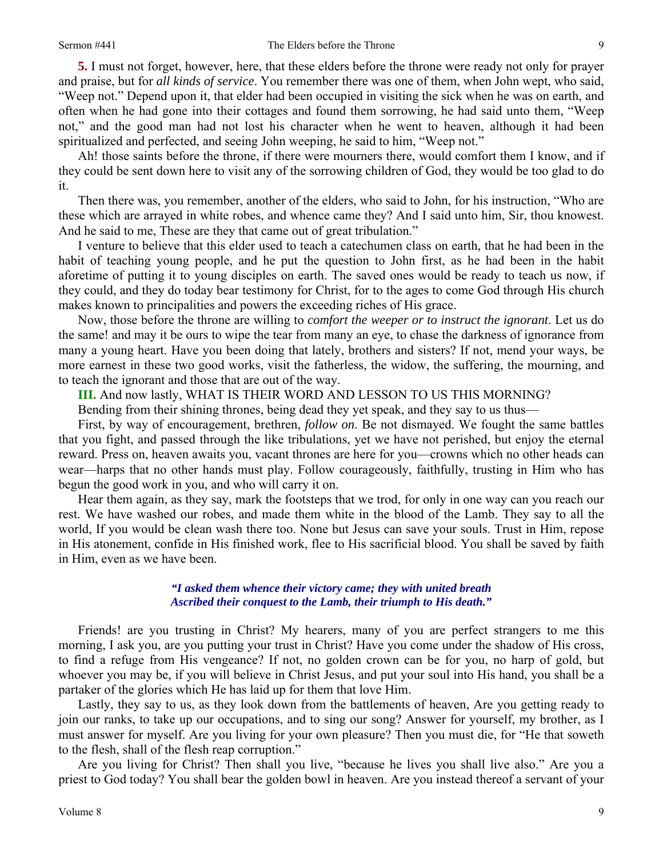**5.** I must not forget, however, here, that these elders before the throne were ready not only for prayer and praise, but for *all kinds of service*. You remember there was one of them, when John wept, who said, "Weep not." Depend upon it, that elder had been occupied in visiting the sick when he was on earth, and often when he had gone into their cottages and found them sorrowing, he had said unto them, "Weep not," and the good man had not lost his character when he went to heaven, although it had been spiritualized and perfected, and seeing John weeping, he said to him, "Weep not."

Ah! those saints before the throne, if there were mourners there, would comfort them I know, and if they could be sent down here to visit any of the sorrowing children of God, they would be too glad to do it.

Then there was, you remember, another of the elders, who said to John, for his instruction, "Who are these which are arrayed in white robes, and whence came they? And I said unto him, Sir, thou knowest. And he said to me, These are they that came out of great tribulation."

I venture to believe that this elder used to teach a catechumen class on earth, that he had been in the habit of teaching young people, and he put the question to John first, as he had been in the habit aforetime of putting it to young disciples on earth. The saved ones would be ready to teach us now, if they could, and they do today bear testimony for Christ, for to the ages to come God through His church makes known to principalities and powers the exceeding riches of His grace.

Now, those before the throne are willing to *comfort the weeper or to instruct the ignorant*. Let us do the same! and may it be ours to wipe the tear from many an eye, to chase the darkness of ignorance from many a young heart. Have you been doing that lately, brothers and sisters? If not, mend your ways, be more earnest in these two good works, visit the fatherless, the widow, the suffering, the mourning, and to teach the ignorant and those that are out of the way.

**III.** And now lastly, WHAT IS THEIR WORD AND LESSON TO US THIS MORNING?

Bending from their shining thrones, being dead they yet speak, and they say to us thus—

First, by way of encouragement, brethren, *follow on*. Be not dismayed. We fought the same battles that you fight, and passed through the like tribulations, yet we have not perished, but enjoy the eternal reward. Press on, heaven awaits you, vacant thrones are here for you—crowns which no other heads can wear—harps that no other hands must play. Follow courageously, faithfully, trusting in Him who has begun the good work in you, and who will carry it on.

Hear them again, as they say, mark the footsteps that we trod, for only in one way can you reach our rest. We have washed our robes, and made them white in the blood of the Lamb. They say to all the world, If you would be clean wash there too. None but Jesus can save your souls. Trust in Him, repose in His atonement, confide in His finished work, flee to His sacrificial blood. You shall be saved by faith in Him, even as we have been.

## *"I asked them whence their victory came; they with united breath Ascribed their conquest to the Lamb, their triumph to His death."*

Friends! are you trusting in Christ? My hearers, many of you are perfect strangers to me this morning, I ask you, are you putting your trust in Christ? Have you come under the shadow of His cross, to find a refuge from His vengeance? If not, no golden crown can be for you, no harp of gold, but whoever you may be, if you will believe in Christ Jesus, and put your soul into His hand, you shall be a partaker of the glories which He has laid up for them that love Him.

Lastly, they say to us, as they look down from the battlements of heaven, Are you getting ready to join our ranks, to take up our occupations, and to sing our song? Answer for yourself, my brother, as I must answer for myself. Are you living for your own pleasure? Then you must die, for "He that soweth to the flesh, shall of the flesh reap corruption."

Are you living for Christ? Then shall you live, "because he lives you shall live also." Are you a priest to God today? You shall bear the golden bowl in heaven. Are you instead thereof a servant of your